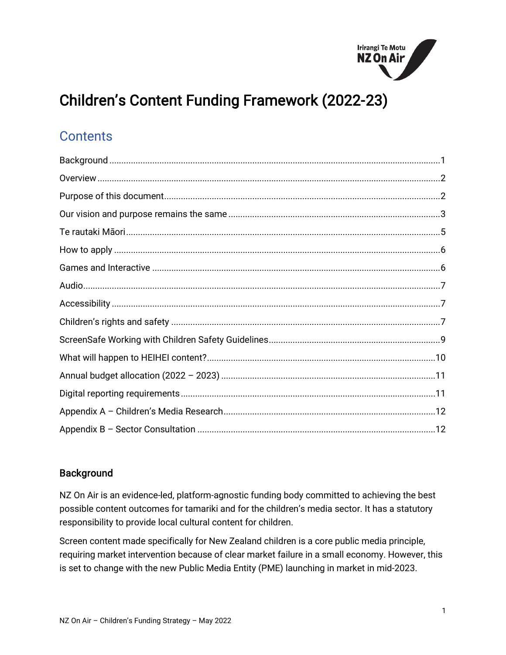

# Children's Content Funding Framework (2022-23)

# **Contents**

# <span id="page-0-0"></span>**Background**

NZ On Air is an evidence-led, platform-agnostic funding body committed to achieving the best possible content outcomes for tamariki and for the children's media sector. It has a statutory responsibility to provide local cultural content for children.

Screen content made specifically for New Zealand children is a core public media principle, requiring market intervention because of clear market failure in a small economy. However, this is set to change with the new Public Media Entity (PME) launching in market in mid-2023.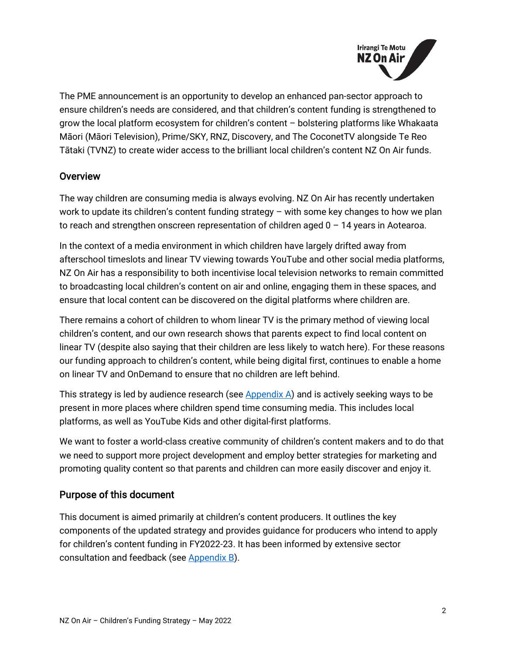

The PME announcement is an opportunity to develop an enhanced pan-sector approach to ensure children's needs are considered, and that children's content funding is strengthened to grow the local platform ecosystem for children's content – bolstering platforms like Whakaata Māori (Māori Television), Prime/SKY, RNZ, Discovery, and The CoconetTV alongside Te Reo Tātaki (TVNZ) to create wider access to the brilliant local children's content NZ On Air funds.

#### <span id="page-1-0"></span>**Overview**

The way children are consuming media is always evolving. NZ On Air has recently undertaken work to update its children's content funding strategy – with some key changes to how we plan to reach and strengthen onscreen representation of children aged  $0 - 14$  years in Aotearoa.

In the context of a media environment in which children have largely drifted away from afterschool timeslots and linear TV viewing towards YouTube and other social media platforms, NZ On Air has a responsibility to both incentivise local television networks to remain committed to broadcasting local children's content on air and online, engaging them in these spaces, and ensure that local content can be discovered on the digital platforms where children are.

There remains a cohort of children to whom linear TV is the primary method of viewing local children's content, and our own research shows that parents expect to find local content on linear TV (despite also saying that their children are less likely to watch here). For these reasons our funding approach to children's content, while being digital first, continues to enable a home on linear TV and OnDemand to ensure that no children are left behind.

This strategy is led by audience research (see  $\Delta$ ppendix  $\Delta$ ) and is actively seeking ways to be present in more places where children spend time consuming media. This includes local platforms, as well as YouTube Kids and other digital-first platforms.

We want to foster a world-class creative community of children's content makers and to do that we need to support more project development and employ better strategies for marketing and promoting quality content so that parents and children can more easily discover and enjoy it.

#### <span id="page-1-1"></span>Purpose of this document

This document is aimed primarily at children's content producers. It outlines the key components of the updated strategy and provides guidance for producers who intend to apply for children's content funding in FY2022-23. It has been informed by extensive sector consultation and feedback (see [Appendix B\)](#page-11-0).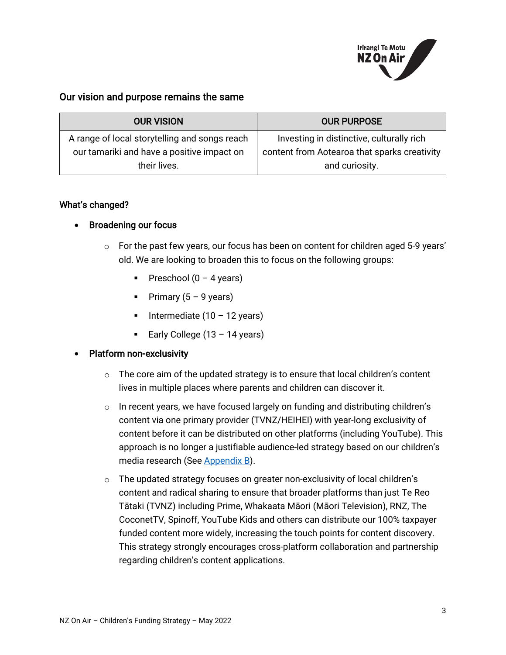

#### <span id="page-2-0"></span>Our vision and purpose remains the same

| <b>OUR VISION</b>                             | <b>OUR PURPOSE</b>                           |
|-----------------------------------------------|----------------------------------------------|
| A range of local storytelling and songs reach | Investing in distinctive, culturally rich    |
| our tamariki and have a positive impact on    | content from Aotearoa that sparks creativity |
| their lives.                                  | and curiosity.                               |

#### What's changed?

#### • Broadening our focus

- $\circ$  For the past few years, our focus has been on content for children aged 5-9 years' old. We are looking to broaden this to focus on the following groups:
	- Preschool  $(0 4$  years)
	- Primary  $(5 9$  years)
	- Intermediate  $(10 12 \text{ years})$
	- Early College  $(13 14$  years)

#### • Platform non-exclusivity

- $\circ$  The core aim of the updated strategy is to ensure that local children's content lives in multiple places where parents and children can discover it.
- $\circ$  In recent years, we have focused largely on funding and distributing children's content via one primary provider (TVNZ/HEIHEI) with year-long exclusivity of content before it can be distributed on other platforms (including YouTube). This approach is no longer a justifiable audience-led strategy based on our children's media research (See [Appendix B\)](#page-11-0).
- $\circ$  The updated strategy focuses on greater non-exclusivity of local children's content and radical sharing to ensure that broader platforms than just Te Reo Tātaki (TVNZ) including Prime, Whakaata Māori (Māori Television), RNZ, The CoconetTV, Spinoff, YouTube Kids and others can distribute our 100% taxpayer funded content more widely, increasing the touch points for content discovery. This strategy strongly encourages cross-platform collaboration and partnership regarding children's content applications.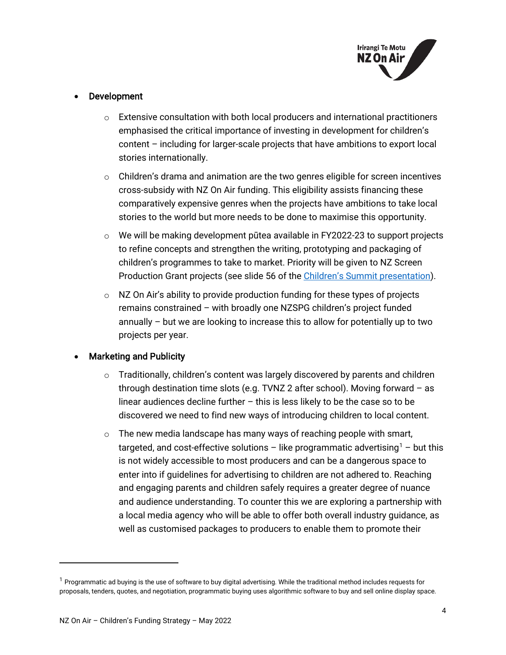

#### **Development**

- $\circ$  Extensive consultation with both local producers and international practitioners emphasised the critical importance of investing in development for children's content – including for larger-scale projects that have ambitions to export local stories internationally.
- $\circ$  Children's drama and animation are the two genres eligible for screen incentives cross-subsidy with NZ On Air funding. This eligibility assists financing these comparatively expensive genres when the projects have ambitions to take local stories to the world but more needs to be done to maximise this opportunity.
- o We will be making development pūtea available in FY2022-23 to support projects to refine concepts and strengthen the writing, prototyping and packaging of children's programmes to take to market. Priority will be given to NZ Screen Production Grant projects (see slide 56 of th[e Children's Summit presentation\)](https://govt.us7.list-manage.com/track/click?u=defea490d12b73c4ed8504b5b&id=9b803cba23&e=728b5438da).
- $\circ$  NZ On Air's ability to provide production funding for these types of projects remains constrained – with broadly one NZSPG children's project funded annually – but we are looking to increase this to allow for potentially up to two projects per year.

#### • Marketing and Publicity

- $\circ$  Traditionally, children's content was largely discovered by parents and children through destination time slots (e.g. TVNZ 2 after school). Moving forward – as linear audiences decline further – this is less likely to be the case so to be discovered we need to find new ways of introducing children to local content.
- $\circ$  The new media landscape has many ways of reaching people with smart, targeted, and cost-effective solutions – like programmatic advertising<sup>1</sup> – but this is not widely accessible to most producers and can be a dangerous space to enter into if guidelines for advertising to children are not adhered to. Reaching and engaging parents and children safely requires a greater degree of nuance and audience understanding. To counter this we are exploring a partnership with a local media agency who will be able to offer both overall industry guidance, as well as customised packages to producers to enable them to promote their

<span id="page-3-0"></span> $1$  Programmatic ad buying is the use of software to buy digital advertising. While the traditional method includes requests for proposals, tenders, quotes, and negotiation, programmatic buying uses algorithmic software to buy and sell online display space.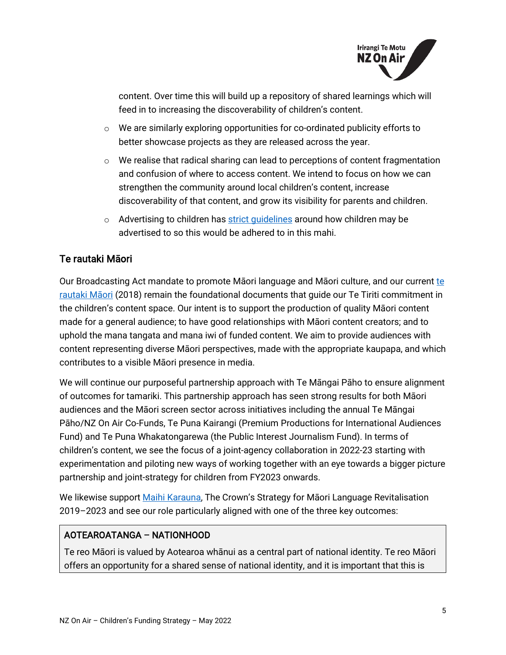

content. Over time this will build up a repository of shared learnings which will feed in to increasing the discoverability of children's content.

- $\circ$  We are similarly exploring opportunities for co-ordinated publicity efforts to better showcase projects as they are released across the year.
- $\circ$  We realise that radical sharing can lead to perceptions of content fragmentation and confusion of where to access content. We intend to focus on how we can strengthen the community around local children's content, increase discoverability of that content, and grow its visibility for parents and children.
- o Advertising to children has strict quidelines around how children may be advertised to so this would be adhered to in this mahi.

# <span id="page-4-0"></span>Te rautaki Māori

Our Broadcasting Act mandate to promote Māori language and Māori culture, and our current te [rautaki Māori](https://d3r9t6niqlb7tz.cloudfront.net/media/documents/Rautaki_Maori_Bilingual.pdf) (2018) remain the foundational documents that guide our Te Tiriti commitment in the children's content space. Our intent is to support the production of quality Māori content made for a general audience; to have good relationships with Māori content creators; and to uphold the mana tangata and mana iwi of funded content. We aim to provide audiences with content representing diverse Māori perspectives, made with the appropriate kaupapa, and which contributes to a visible Māori presence in media.

We will continue our purposeful partnership approach with Te Māngai Pāho to ensure alignment of outcomes for tamariki. This partnership approach has seen strong results for both Māori audiences and the Māori screen sector across initiatives including the annual Te Māngai Pāho/NZ On Air Co-Funds, Te Puna Kairangi (Premium Productions for International Audiences Fund) and Te Puna Whakatongarewa (the Public Interest Journalism Fund). In terms of children's content, we see the focus of a joint-agency collaboration in 2022-23 starting with experimentation and piloting new ways of working together with an eye towards a bigger picture partnership and joint-strategy for children from FY2023 onwards.

We likewise support [Maihi Karauna,](https://www.tpk.govt.nz/docs/tpk-maihi-karauna-en-2018-v2.pdf) The Crown's Strategy for Māori Language Revitalisation 2019–2023 and see our role particularly aligned with one of the three key outcomes:

#### AOTEAROATANGA – NATIONHOOD

Te reo Māori is valued by Aotearoa whānui as a central part of national identity. Te reo Māori offers an opportunity for a shared sense of national identity, and it is important that this is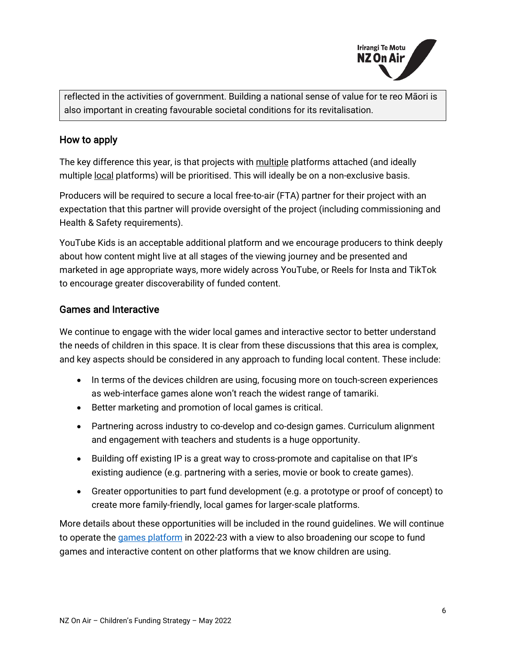

reflected in the activities of government. Building a national sense of value for te reo Māori is also important in creating favourable societal conditions for its revitalisation.

#### <span id="page-5-0"></span>How to apply

The key difference this year, is that projects with multiple platforms attached (and ideally multiple local platforms) will be prioritised. This will ideally be on a non-exclusive basis.

Producers will be required to secure a local free-to-air (FTA) partner for their project with an expectation that this partner will provide oversight of the project (including commissioning and Health & Safety requirements).

YouTube Kids is an acceptable additional platform and we encourage producers to think deeply about how content might live at all stages of the viewing journey and be presented and marketed in age appropriate ways, more widely across YouTube, or Reels for Insta and TikTok to encourage greater discoverability of funded content.

#### <span id="page-5-1"></span>Games and Interactive

We continue to engage with the wider local games and interactive sector to better understand the needs of children in this space. It is clear from these discussions that this area is complex, and key aspects should be considered in any approach to funding local content. These include:

- In terms of the devices children are using, focusing more on touch-screen experiences as web-interface games alone won't reach the widest range of tamariki.
- Better marketing and promotion of local games is critical.
- Partnering across industry to co-develop and co-design games. Curriculum alignment and engagement with teachers and students is a huge opportunity.
- Building off existing IP is a great way to cross-promote and capitalise on that IP's existing audience (e.g. partnering with a series, movie or book to create games).
- Greater opportunities to part fund development (e.g. a prototype or proof of concept) to create more family-friendly, local games for larger-scale platforms.

More details about these opportunities will be included in the round guidelines. We will continue to operate the [games platform](https://www.heihei.nz/games) in 2022-23 with a view to also broadening our scope to fund games and interactive content on other platforms that we know children are using.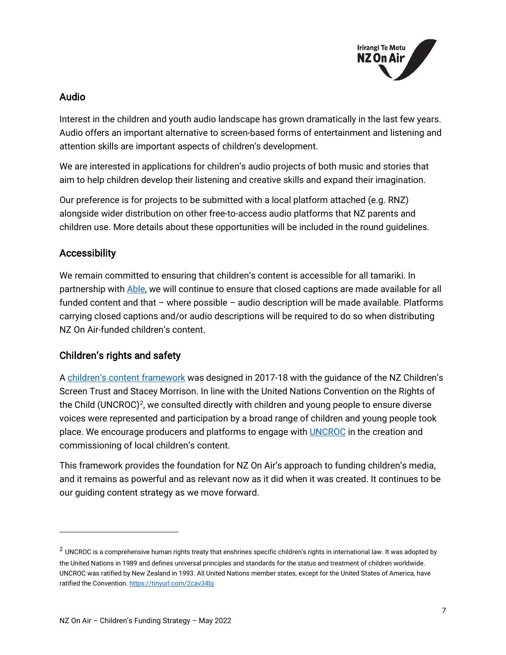

## <span id="page-6-0"></span>Audio

Interest in the children and youth audio landscape has grown dramatically in the last few years. Audio offers an important alternative to screen-based forms of entertainment and listening and attention skills are important aspects of children's development.

We are interested in applications for children's audio projects of both music and stories that aim to help children develop their listening and creative skills and expand their imagination.

Our preference is for projects to be submitted with a local platform attached (e.g. RNZ) alongside wider distribution on other free-to-access audio platforms that NZ parents and children use. More details about these opportunities will be included in the round guidelines.

# <span id="page-6-1"></span>Accessibility

We remain committed to ensuring that children's content is accessible for all tamariki. In partnership with [Able,](https://able.co.nz/) we will continue to ensure that closed captions are made available for all funded content and that – where possible – audio description will be made available. Platforms carrying closed captions and/or audio descriptions will be required to do so when distributing NZ On Air-funded children's content.

# <span id="page-6-2"></span>Children's rights and safety

A [children's content framework](https://d3r9t6niqlb7tz.cloudfront.net/media/documents/Childrens_Media_Platform_content_framework_MHOICEU.pdf) was designed in 2017-18 with the guidance of the NZ Children's Screen Trust and Stacey Morrison. In line with the United Nations Convention on the Rights of the Child (UNCROC)<sup>2</sup>, we consulted directly with children and young people to ensure diverse voices were represented and participation by a broad range of children and young people took place. We encourage producers and platforms to engage with **UNCROC** in the creation and commissioning of local children's content.

This framework provides the foundation for NZ On Air's approach to funding children's media, and it remains as powerful and as relevant now as it did when it was created. It continues to be our guiding content strategy as we move forward.

<span id="page-6-3"></span> $2$  UNCROC is a comprehensive human rights treaty that enshrines specific children's rights in international law. It was adopted by the United Nations in 1989 and defines universal principles and standards for the status and treatment of children worldwide. UNCROC was ratified by New Zealand in 1993. All United Nations member states, except for the United States of America, have ratified the Convention[. https://tinyurl.com/2cav34bj](https://tinyurl.com/2cav34bj)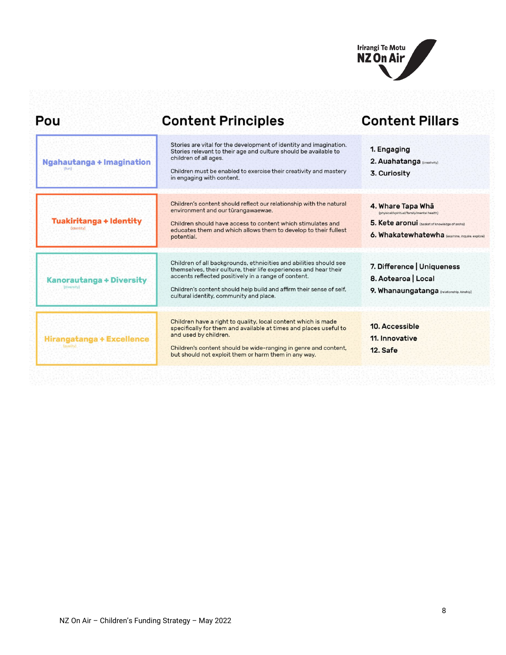

| Pou                                            | <b>Content Principles</b>                                                                                                                                                                                                                                                                                       | <b>Content Pillars</b>                                                                                                                                            |
|------------------------------------------------|-----------------------------------------------------------------------------------------------------------------------------------------------------------------------------------------------------------------------------------------------------------------------------------------------------------------|-------------------------------------------------------------------------------------------------------------------------------------------------------------------|
| Ngahautanga + Imagination                      | Stories are vital for the development of identity and imagination.<br>Stories relevant to their age and culture should be available to<br>children of all ages.<br>Children must be enabled to exercise their creativity and mastery<br>in engaging with content.                                               | 1. Engaging<br>2. Auahatanga (creativity)<br>3. Curiosity                                                                                                         |
| <b>Tuakiritanga + Identity</b><br>(identity)   | Children's content should reflect our relationship with the natural<br>environment and our tūrangawaewae.<br>Children should have access to content which stimulates and<br>educates them and which allows them to develop to their fullest<br>potential.                                                       | 4. Whare Tapa Wha<br>(physical/spiritual/family/mental health)<br>5. Kete aronui (basket of knowledge of aroha)<br>6. Whakatewhatewha (examine, inquire, explore) |
| <b>Kanorautanga + Diversity</b><br>(diversity) | Children of all backgrounds, ethnicities and abilities should see<br>themselves, their culture, their life experiences and hear their<br>accents reflected positively in a range of content.<br>Children's content should help build and affirm their sense of self.<br>cultural identity, community and place. | 7. Difference   Uniqueness<br>8. Aotearoa   Local<br>9. Whanaungatanga (relationship, kinship)                                                                    |
| Hirangatanga + Excellence                      | Children have a right to quality, local content which is made<br>specifically for them and available at times and places useful to<br>and used by children.<br>Children's content should be wide-ranging in genre and content,<br>but should not exploit them or harm them in any way.                          | 10. Accessible<br>11. Innovative<br>12. Safe                                                                                                                      |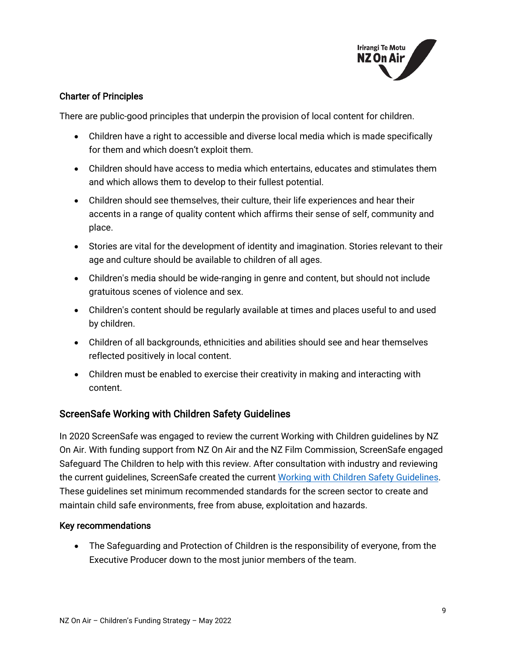

#### Charter of Principles

There are public-good principles that underpin the provision of local content for children.

- Children have a right to accessible and diverse local media which is made specifically for them and which doesn't exploit them.
- Children should have access to media which entertains, educates and stimulates them and which allows them to develop to their fullest potential.
- Children should see themselves, their culture, their life experiences and hear their accents in a range of quality content which affirms their sense of self, community and place.
- Stories are vital for the development of identity and imagination. Stories relevant to their age and culture should be available to children of all ages.
- Children's media should be wide-ranging in genre and content, but should not include gratuitous scenes of violence and sex.
- Children's content should be regularly available at times and places useful to and used by children.
- Children of all backgrounds, ethnicities and abilities should see and hear themselves reflected positively in local content.
- Children must be enabled to exercise their creativity in making and interacting with content.

#### <span id="page-8-0"></span>ScreenSafe Working with Children Safety Guidelines

In 2020 ScreenSafe was engaged to review the current Working with Children guidelines by NZ On Air. With funding support from NZ On Air and the NZ Film Commission, ScreenSafe engaged Safeguard The Children to help with this review. After consultation with industry and reviewing the current guidelines, ScreenSafe created the current [Working with Children Safety Guidelines.](https://screensafe.co.nz/screensafe-working-with-children-update/#:%7E:text=ScreenSafe%20recommends%20that%20Productions%20that,productions%20interaction%20with%20the%20children.) These guidelines set minimum recommended standards for the screen sector to create and maintain child safe environments, free from abuse, exploitation and hazards.

#### Key recommendations

• The Safeguarding and Protection of Children is the responsibility of everyone, from the Executive Producer down to the most junior members of the team.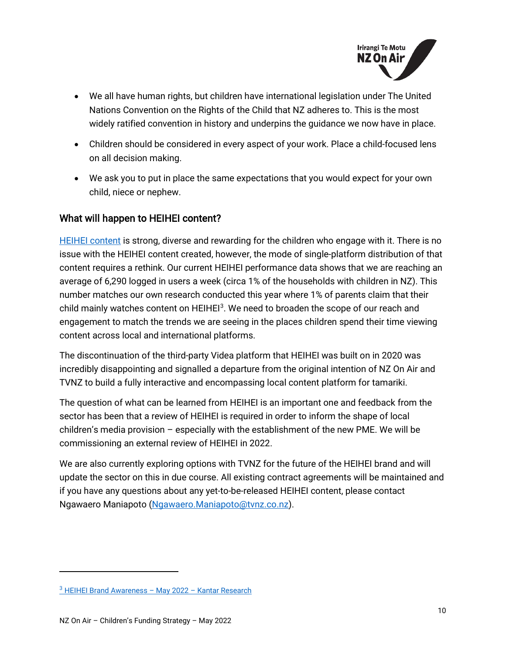

- We all have human rights, but children have international legislation under The United Nations Convention on the Rights of the Child that NZ adheres to. This is the most widely ratified convention in history and underpins the guidance we now have in place.
- Children should be considered in every aspect of your work. Place a child-focused lens on all decision making.
- We ask you to put in place the same expectations that you would expect for your own child, niece or nephew.

# <span id="page-9-0"></span>What will happen to HEIHEI content?

[HEIHEI content](https://www.tvnz.co.nz/categories/heihei) is strong, diverse and rewarding for the children who engage with it. There is no issue with the HEIHEI content created, however, the mode of single-platform distribution of that content requires a rethink. Our current HEIHEI performance data shows that we are reaching an average of 6,290 logged in users a week (circa 1% of the households with children in NZ). This number matches our own research conducted this year where 1% of parents claim that their child mainly watches content on HEIHEI<sup>3</sup>. We need to broaden the scope of our reach and engagement to match the trends we are seeing in the places children spend their time viewing content across local and international platforms.

The discontinuation of the third-party Videa platform that HEIHEI was built on in 2020 was incredibly disappointing and signalled a departure from the original intention of NZ On Air and TVNZ to build a fully interactive and encompassing local content platform for tamariki.

The question of what can be learned from HEIHEI is an important one and feedback from the sector has been that a review of HEIHEI is required in order to inform the shape of local children's media provision – especially with the establishment of the new PME. We will be commissioning an external review of HEIHEI in 2022.

<span id="page-9-1"></span>We are also currently exploring options with TVNZ for the future of the HEIHEI brand and will update the sector on this in due course. All existing contract agreements will be maintained and if you have any questions about any yet-to-be-released HEIHEI content, please contact Ngawaero Maniapoto [\(Ngawaero.Maniapoto@tvnz.co.nz\)](mailto:Ngawaero.Maniapoto@tvnz.co.nz).

<span id="page-9-2"></span> $3$  [HEIHEI Brand Awareness –](https://d3r9t6niqlb7tz.cloudfront.net/media/documents/HeiHei_Brand_Awareness_Report_Final_V2.pdf) May 2022 – [Kantar Research](https://d3r9t6niqlb7tz.cloudfront.net/media/documents/HeiHei_Brand_Awareness_Report_Final_V2.pdf)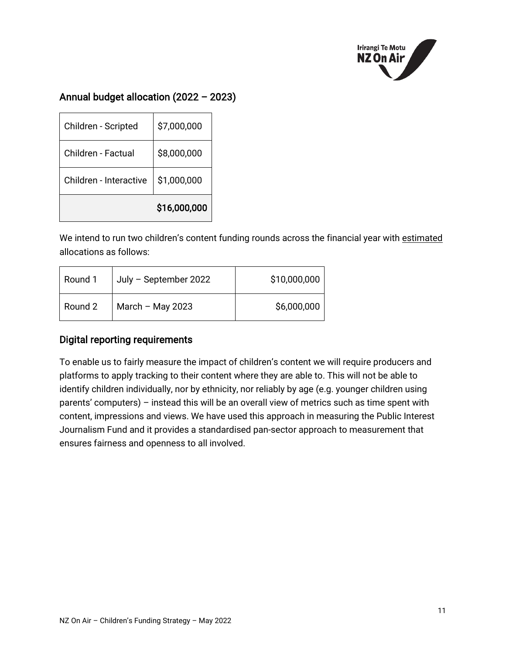

# Annual budget allocation (2022 – 2023)

|                        | \$16,000,000 |
|------------------------|--------------|
| Children - Interactive | \$1,000,000  |
| Children - Factual     | \$8,000,000  |
| Children - Scripted    | \$7,000,000  |

We intend to run two children's content funding rounds across the financial year with estimated allocations as follows:

| Round 1 | July - September 2022 | \$10,000,000 |
|---------|-----------------------|--------------|
| Round 2 | March – May 2023      | \$6,000,000  |

## <span id="page-10-0"></span>Digital reporting requirements

To enable us to fairly measure the impact of children's content we will require producers and platforms to apply tracking to their content where they are able to. This will not be able to identify children individually, nor by ethnicity, nor reliably by age (e.g. younger children using parents' computers) – instead this will be an overall view of metrics such as time spent with content, impressions and views. We have used this approach in measuring the Public Interest Journalism Fund and it provides a standardised pan-sector approach to measurement that ensures fairness and openness to all involved.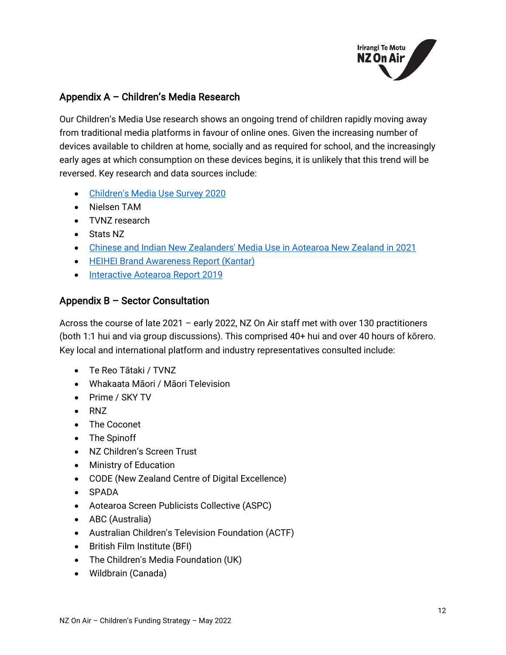

# <span id="page-11-0"></span>Appendix A – Children's Media Research

Our Children's Media Use research shows an ongoing trend of children rapidly moving away from traditional media platforms in favour of online ones. Given the increasing number of devices available to children at home, socially and as required for school, and the increasingly early ages at which consumption on these devices begins, it is unlikely that this trend will be reversed. Key research and data sources include:

- [Children's Media Use Survey 2020](https://www.nzonair.govt.nz/research/childrens-media-use-survey-2020/#:%7E:text=Children)
- Nielsen TAM
- TVNZ research
- Stats NZ
- [Chinese and Indian New Zealanders' Media Use in Aotearoa New Zealand in 2021](https://www.nzonair.govt.nz/research/chinese-and-indian-new-zealanders-media-use-aotearoa-new-zealand-2021/)
- [HEIHEI Brand Awareness Report \(Kantar\)](https://www.nzonair.govt.nz/documents/812/HeiHei_Brand_Awareness_Report_Final_V2.pdf)
- [Interactive Aotearoa Report 2019](https://nzgda.com/wp-content/uploads/2019/08/Interactive-Aotearoa-Report-2019_email.pdf)

#### <span id="page-11-1"></span>Appendix B – Sector Consultation

Across the course of late 2021 – early 2022, NZ On Air staff met with over 130 practitioners (both 1:1 hui and via group discussions). This comprised 40+ hui and over 40 hours of kōrero. Key local and international platform and industry representatives consulted include:

- Te Reo Tātaki / TVNZ
- Whakaata Māori / Māori Television
- Prime / SKY TV
- RNZ
- The Coconet
- The Spinoff
- NZ Children's Screen Trust
- Ministry of Education
- CODE (New Zealand Centre of Digital Excellence)
- SPADA
- Aotearoa Screen Publicists Collective (ASPC)
- ABC (Australia)
- Australian Children's Television Foundation (ACTF)
- British Film Institute (BFI)
- The Children's Media Foundation (UK)
- Wildbrain (Canada)